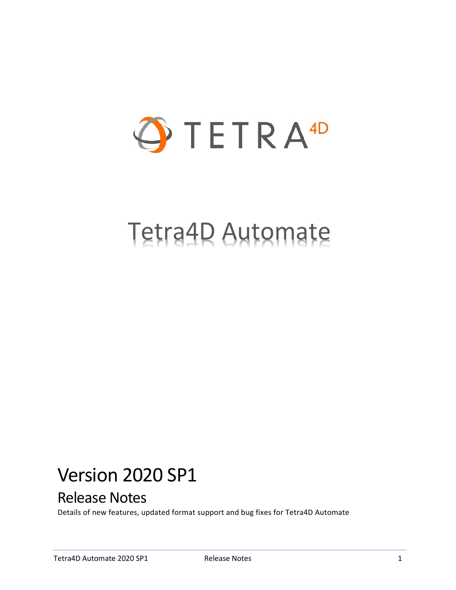

# Tetra4D Automate

## Version 2020 SP1

## Release Notes

Details of new features, updated format support and bug fixes for Tetra4D Automate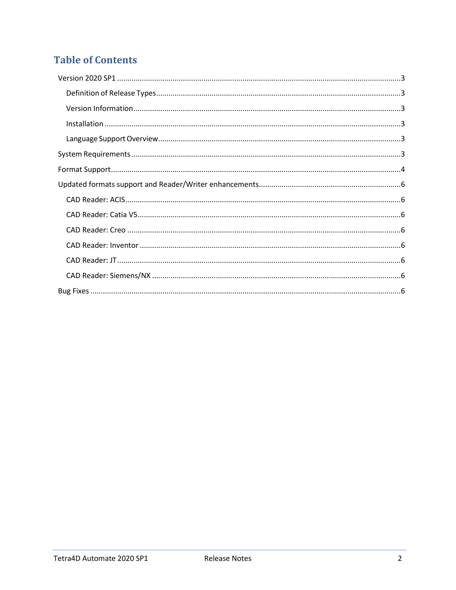## **Table of Contents**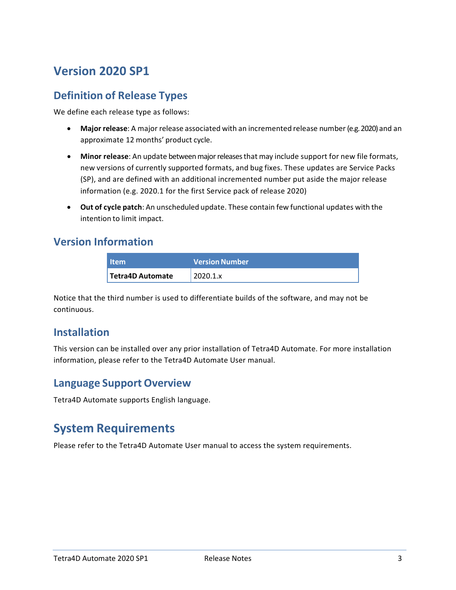## <span id="page-2-0"></span>**Version 2020 SP1**

## <span id="page-2-1"></span>**Definition of Release Types**

We define each release type as follows:

- **Major release**: A major release associated with an incremented release number (e.g. 2020) and an approximate 12 months' product cycle.
- **Minor release**: An update betweenmajorreleasesthat may include support for new file formats, new versions of currently supported formats, and bug fixes. These updates are Service Packs (SP), and are defined with an additional incremented number put aside the major release information (e.g. 2020.1 for the first Service pack of release 2020)
- **Out of cycle patch**: An unscheduled update. These contain few functional updates with the intention to limit impact.

#### <span id="page-2-2"></span>**Version Information**

| <b>Item</b>             | <b>Version Number</b> |
|-------------------------|-----------------------|
| <b>Tetra4D Automate</b> | 2020.1.x              |

Notice that the third number is used to differentiate builds of the software, and may not be continuous.

## <span id="page-2-3"></span>**Installation**

This version can be installed over any prior installation of Tetra4D Automate. For more installation information, please refer to the Tetra4D Automate User manual.

## <span id="page-2-4"></span>**Language Support Overview**

Tetra4D Automate supports English language.

## <span id="page-2-5"></span>**System Requirements**

Please refer to the Tetra4D Automate User manual to access the system requirements.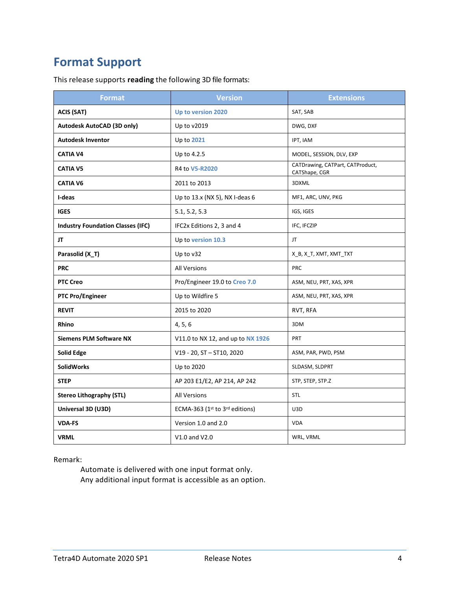## <span id="page-3-0"></span>**Format Support**

This release supports **reading** the following 3D file formats:

| <b>Format</b>                            | <b>Version</b>                    | <b>Extensions</b>                                 |
|------------------------------------------|-----------------------------------|---------------------------------------------------|
| <b>ACIS (SAT)</b>                        | Up to version 2020                | SAT, SAB                                          |
| Autodesk AutoCAD (3D only)               | Up to v2019                       | DWG, DXF                                          |
| <b>Autodesk Inventor</b>                 | Up to 2021                        | IPT, IAM                                          |
| <b>CATIA V4</b>                          | Up to 4.2.5                       | MODEL, SESSION, DLV, EXP                          |
| <b>CATIA V5</b>                          | R4 to V5-R2020                    | CATDrawing, CATPart, CATProduct,<br>CATShape, CGR |
| <b>CATIA V6</b>                          | 2011 to 2013                      | 3DXML                                             |
| I-deas                                   | Up to 13.x (NX 5), NX I-deas 6    | MF1, ARC, UNV, PKG                                |
| <b>IGES</b>                              | 5.1, 5.2, 5.3                     | IGS, IGES                                         |
| <b>Industry Foundation Classes (IFC)</b> | IFC2x Editions 2, 3 and 4         | IFC, IFCZIP                                       |
| JT                                       | Up to version 10.3                | JT.                                               |
| Parasolid (X_T)                          | Up to v32                         | X_B, X_T, XMT, XMT_TXT                            |
| <b>PRC</b>                               | <b>All Versions</b>               | <b>PRC</b>                                        |
| <b>PTC Creo</b>                          | Pro/Engineer 19.0 to Creo 7.0     | ASM, NEU, PRT, XAS, XPR                           |
| <b>PTC Pro/Engineer</b>                  | Up to Wildfire 5                  | ASM, NEU, PRT, XAS, XPR                           |
| <b>REVIT</b>                             | 2015 to 2020                      | RVT, RFA                                          |
| Rhino                                    | 4, 5, 6                           | 3DM                                               |
| <b>Siemens PLM Software NX</b>           | V11.0 to NX 12, and up to NX 1926 | PRT                                               |
| <b>Solid Edge</b>                        | V19 - 20, ST - ST10, 2020         | ASM, PAR, PWD, PSM                                |
| <b>SolidWorks</b>                        | Up to 2020                        | SLDASM, SLDPRT                                    |
| <b>STEP</b>                              | AP 203 E1/E2, AP 214, AP 242      | STP, STEP, STP.Z                                  |
| <b>Stereo Lithography (STL)</b>          | <b>All Versions</b>               | STL                                               |
| Universal 3D (U3D)                       | ECMA-363 (1st to 3rd editions)    | U3D                                               |
| <b>VDA-FS</b>                            | Version 1.0 and 2.0               | <b>VDA</b>                                        |
| <b>VRML</b>                              | V1.0 and V2.0                     | WRL, VRML                                         |

#### Remark:

Automate is delivered with one input format only. Any additional input format is accessible as an option.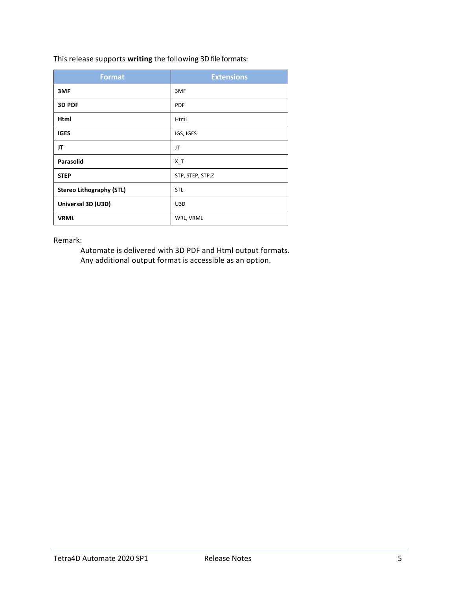This release supports **writing** the following 3D file formats:

| <b>Format</b>                   | <b>Extensions</b> |
|---------------------------------|-------------------|
| 3MF                             | 3MF               |
| 3D PDF                          | <b>PDF</b>        |
| Html                            | Html              |
| <b>IGES</b>                     | IGS, IGES         |
| JT                              | JT                |
| <b>Parasolid</b>                | $X_T$             |
| <b>STEP</b>                     | STP, STEP, STP.Z  |
| <b>Stereo Lithography (STL)</b> | <b>STL</b>        |
| Universal 3D (U3D)              | U3D               |
| <b>VRML</b>                     | WRL, VRML         |

Remark:

Automate is delivered with 3D PDF and Html output formats. Any additional output format is accessible as an option.